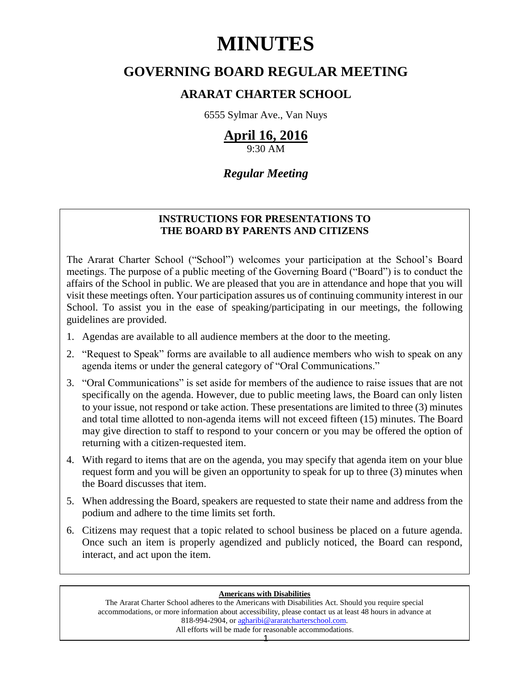# **MINUTES**

# **GOVERNING BOARD REGULAR MEETING**

## **ARARAT CHARTER SCHOOL**

6555 Sylmar Ave., Van Nuys

# **April 16, 2016**

9:30 AM

## *Regular Meeting*

### **INSTRUCTIONS FOR PRESENTATIONS TO THE BOARD BY PARENTS AND CITIZENS**

The Ararat Charter School ("School") welcomes your participation at the School's Board meetings. The purpose of a public meeting of the Governing Board ("Board") is to conduct the affairs of the School in public. We are pleased that you are in attendance and hope that you will visit these meetings often. Your participation assures us of continuing community interest in our School. To assist you in the ease of speaking/participating in our meetings, the following guidelines are provided.

- 1. Agendas are available to all audience members at the door to the meeting.
- 2. "Request to Speak" forms are available to all audience members who wish to speak on any agenda items or under the general category of "Oral Communications."
- 3. "Oral Communications" is set aside for members of the audience to raise issues that are not specifically on the agenda. However, due to public meeting laws, the Board can only listen to your issue, not respond or take action. These presentations are limited to three (3) minutes and total time allotted to non-agenda items will not exceed fifteen (15) minutes. The Board may give direction to staff to respond to your concern or you may be offered the option of returning with a citizen-requested item.
- 4. With regard to items that are on the agenda, you may specify that agenda item on your blue request form and you will be given an opportunity to speak for up to three (3) minutes when the Board discusses that item.
- 5. When addressing the Board, speakers are requested to state their name and address from the podium and adhere to the time limits set forth.
- 6. Citizens may request that a topic related to school business be placed on a future agenda. Once such an item is properly agendized and publicly noticed, the Board can respond, interact, and act upon the item.

#### **Americans with Disabilities**

The Ararat Charter School adheres to the Americans with Disabilities Act. Should you require special accommodations, or more information about accessibility, please contact us at least 48 hours in advance at 818-994-2904, or [agharibi@araratcharterschool.com.](mailto:agharibi@araratcharterschool.com)  All efforts will be made for reasonable accommodations.

1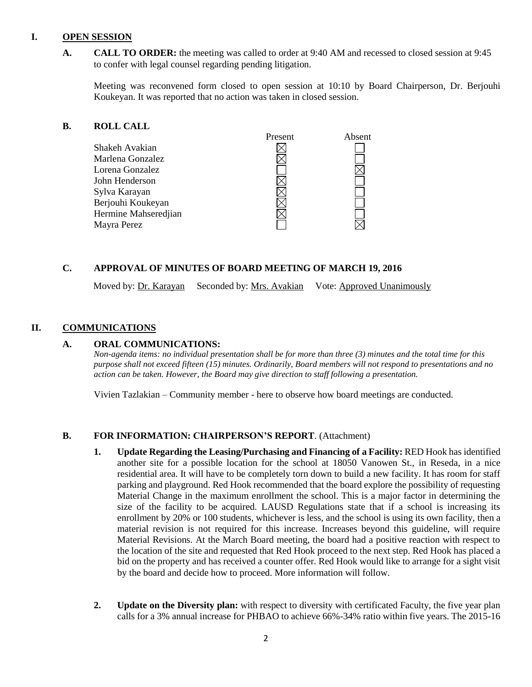#### **I. OPEN SESSION**

**A. CALL TO ORDER:** the meeting was called to order at 9:40 AM and recessed to closed session at 9:45 to confer with legal counsel regarding pending litigation.

Meeting was reconvened form closed to open session at 10:10 by Board Chairperson, Dr. Berjouhi Koukeyan. It was reported that no action was taken in closed session.

#### **B. ROLL CALL**

|                      | Present | Absent |
|----------------------|---------|--------|
| Shakeh Avakian       |         |        |
| Marlena Gonzalez     |         |        |
| Lorena Gonzalez      |         |        |
| John Henderson       |         |        |
| Sylva Karayan        |         |        |
| Berjouhi Koukeyan    |         |        |
| Hermine Mahseredjian |         |        |
| Mayra Perez          |         |        |

#### **C. APPROVAL OF MINUTES OF BOARD MEETING OF MARCH 19, 2016**

Moved by: Dr. Karayan Seconded by: Mrs. Avakian Vote: Approved Unanimously

#### **II. COMMUNICATIONS**

#### **A. ORAL COMMUNICATIONS:**

*Non-agenda items: no individual presentation shall be for more than three (3) minutes and the total time for this purpose shall not exceed fifteen (15) minutes. Ordinarily, Board members will not respond to presentations and no action can be taken. However, the Board may give direction to staff following a presentation.*

Vivien Tazlakian – Community member - here to observe how board meetings are conducted.

#### **B. FOR INFORMATION: CHAIRPERSON'S REPORT**. (Attachment)

- **1. Update Regarding the Leasing/Purchasing and Financing of a Facility:** RED Hook has identified another site for a possible location for the school at 18050 Vanowen St., in Reseda, in a nice residential area. It will have to be completely torn down to build a new facility. It has room for staff parking and playground. Red Hook recommended that the board explore the possibility of requesting Material Change in the maximum enrollment the school. This is a major factor in determining the size of the facility to be acquired. LAUSD Regulations state that if a school is increasing its enrollment by 20% or 100 students, whichever is less, and the school is using its own facility, then a material revision is not required for this increase. Increases beyond this guideline, will require Material Revisions. At the March Board meeting, the board had a positive reaction with respect to the location of the site and requested that Red Hook proceed to the next step. Red Hook has placed a bid on the property and has received a counter offer. Red Hook would like to arrange for a sight visit by the board and decide how to proceed. More information will follow.
- **2. Update on the Diversity plan:** with respect to diversity with certificated Faculty, the five year plan calls for a 3% annual increase for PHBAO to achieve 66%-34% ratio within five years. The 2015-16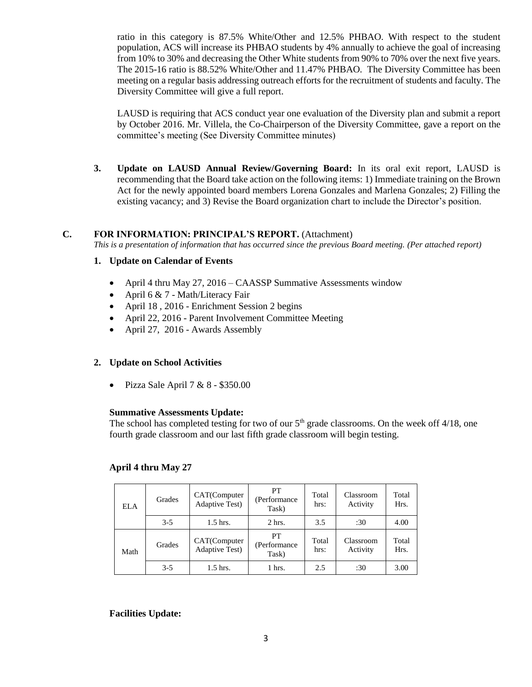ratio in this category is 87.5% White/Other and 12.5% PHBAO. With respect to the student population, ACS will increase its PHBAO students by 4% annually to achieve the goal of increasing from 10% to 30% and decreasing the Other White students from 90% to 70% over the next five years. The 2015-16 ratio is 88.52% White/Other and 11.47% PHBAO. The Diversity Committee has been meeting on a regular basis addressing outreach efforts for the recruitment of students and faculty. The Diversity Committee will give a full report.

LAUSD is requiring that ACS conduct year one evaluation of the Diversity plan and submit a report by October 2016. Mr. Villela, the Co-Chairperson of the Diversity Committee, gave a report on the committee's meeting (See Diversity Committee minutes)

**3. Update on LAUSD Annual Review/Governing Board:** In its oral exit report, LAUSD is recommending that the Board take action on the following items: 1) Immediate training on the Brown Act for the newly appointed board members Lorena Gonzales and Marlena Gonzales; 2) Filling the existing vacancy; and 3) Revise the Board organization chart to include the Director's position.

#### **C. FOR INFORMATION: PRINCIPAL'S REPORT.** (Attachment)

*This is a presentation of information that has occurred since the previous Board meeting. (Per attached report)*

#### **1. Update on Calendar of Events**

- April 4 thru May 27, 2016 CAASSP Summative Assessments window
- April 6  $& 7$  Math/Literacy Fair
- April 18, 2016 Enrichment Session 2 begins
- April 22, 2016 Parent Involvement Committee Meeting
- April 27, 2016 Awards Assembly

#### **2. Update on School Activities**

• Pizza Sale April  $7 & 8 - $350.00$ 

#### **Summative Assessments Update:**

The school has completed testing for two of our  $5<sup>th</sup>$  grade classrooms. On the week off  $4/18$ , one fourth grade classroom and our last fifth grade classroom will begin testing.

#### **April 4 thru May 27**

| <b>ELA</b> | Grades  | CAT(Computer<br>Adaptive Test)         | PT<br>(Performance)<br>Task) | Total<br>hrs: | Classroom<br>Activity | Total<br>Hrs. |
|------------|---------|----------------------------------------|------------------------------|---------------|-----------------------|---------------|
|            | $3-5$   | $1.5$ hrs.                             | $2$ hrs.                     | 3.5           | :30                   | 4.00          |
| Math       | Grades  | CAT(Computer<br><b>Adaptive Test</b> ) | PT<br>(Performance)<br>Task) | Total<br>hrs: | Classroom<br>Activity | Total<br>Hrs. |
|            | $3 - 5$ | 1.5 hrs.                               | 1 hrs.                       | 2.5           | :30                   | 3.00          |

**Facilities Update:**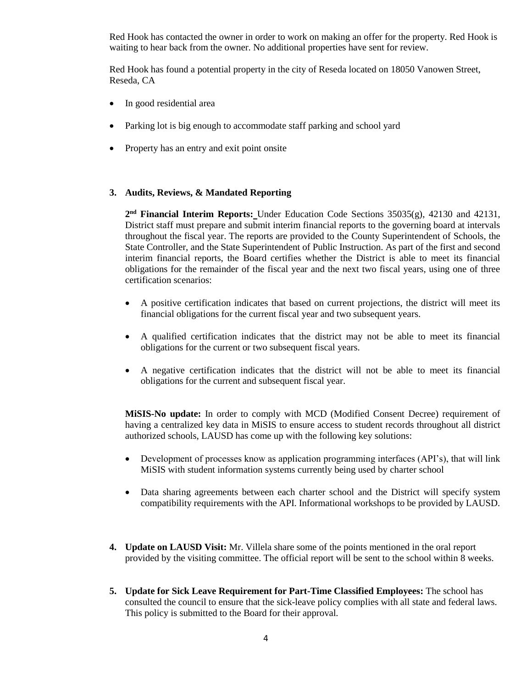Red Hook has contacted the owner in order to work on making an offer for the property. Red Hook is waiting to hear back from the owner. No additional properties have sent for review.

Red Hook has found a potential property in the city of Reseda located on 18050 Vanowen Street, Reseda, CA

- In good residential area
- Parking lot is big enough to accommodate staff parking and school yard
- Property has an entry and exit point onsite

#### **3. Audits, Reviews, & Mandated Reporting**

**2 nd Financial Interim Reports:** Under Education Code Sections 35035(g), 42130 and 42131, District staff must prepare and submit interim financial reports to the governing board at intervals throughout the fiscal year. The reports are provided to the County Superintendent of Schools, the State Controller, and the State Superintendent of Public Instruction. As part of the first and second interim financial reports, the Board certifies whether the District is able to meet its financial obligations for the remainder of the fiscal year and the next two fiscal years, using one of three certification scenarios:

- A positive certification indicates that based on current projections, the district will meet its financial obligations for the current fiscal year and two subsequent years.
- A qualified certification indicates that the district may not be able to meet its financial obligations for the current or two subsequent fiscal years.
- A negative certification indicates that the district will not be able to meet its financial obligations for the current and subsequent fiscal year.

**MiSIS-No update:** In order to comply with MCD (Modified Consent Decree) requirement of having a centralized key data in MiSIS to ensure access to student records throughout all district authorized schools, LAUSD has come up with the following key solutions:

- Development of processes know as application programming interfaces (API's), that will link MiSIS with student information systems currently being used by charter school
- Data sharing agreements between each charter school and the District will specify system compatibility requirements with the API. Informational workshops to be provided by LAUSD.
- **4. Update on LAUSD Visit:** Mr. Villela share some of the points mentioned in the oral report provided by the visiting committee. The official report will be sent to the school within 8 weeks.
- **5. Update for Sick Leave Requirement for Part-Time Classified Employees:** The school has consulted the council to ensure that the sick-leave policy complies with all state and federal laws. This policy is submitted to the Board for their approval.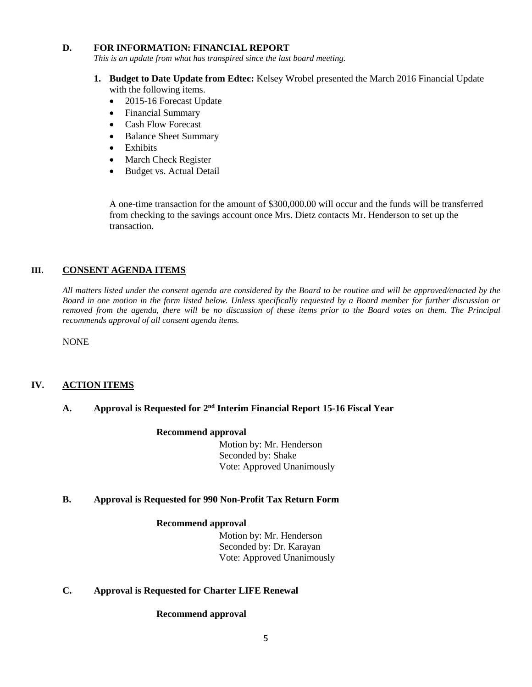#### **D. FOR INFORMATION: FINANCIAL REPORT**

*This is an update from what has transpired since the last board meeting.*

- **1. Budget to Date Update from Edtec:** Kelsey Wrobel presented the March 2016 Financial Update with the following items.
	- 2015-16 Forecast Update
	- Financial Summary
	- Cash Flow Forecast
	- Balance Sheet Summary
	- Exhibits
	- March Check Register
	- Budget vs. Actual Detail

A one-time transaction for the amount of \$300,000.00 will occur and the funds will be transferred from checking to the savings account once Mrs. Dietz contacts Mr. Henderson to set up the transaction.

#### **III. CONSENT AGENDA ITEMS**

*All matters listed under the consent agenda are considered by the Board to be routine and will be approved/enacted by the Board in one motion in the form listed below. Unless specifically requested by a Board member for further discussion or removed from the agenda, there will be no discussion of these items prior to the Board votes on them. The Principal recommends approval of all consent agenda items.*

NONE

#### **IV. ACTION ITEMS**

#### A. **Approval is Requested for 2<sup>nd</sup> Interim Financial Report 15-16 Fiscal Year**

#### **Recommend approval**

 Motion by: Mr. Henderson Seconded by: Shake Vote: Approved Unanimously

#### **B. Approval is Requested for 990 Non-Profit Tax Return Form**

#### **Recommend approval**

 Motion by: Mr. Henderson Seconded by: Dr. Karayan Vote: Approved Unanimously

#### **C. Approval is Requested for Charter LIFE Renewal**

#### **Recommend approval**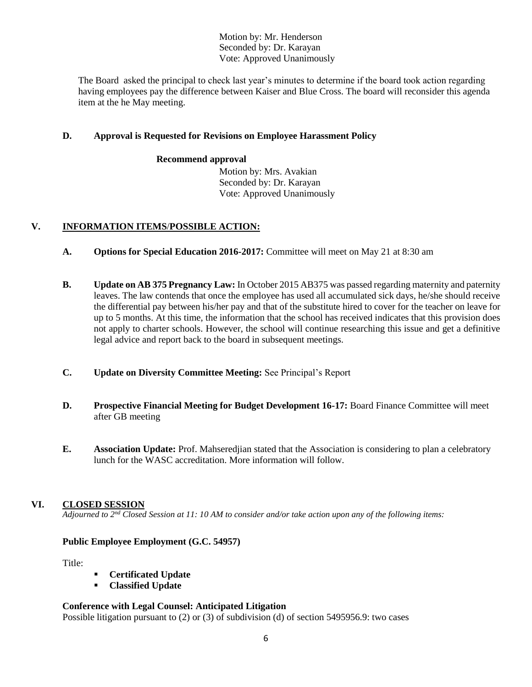Motion by: Mr. Henderson Seconded by: Dr. Karayan Vote: Approved Unanimously

The Board asked the principal to check last year's minutes to determine if the board took action regarding having employees pay the difference between Kaiser and Blue Cross. The board will reconsider this agenda item at the he May meeting.

#### **D. Approval is Requested for Revisions on Employee Harassment Policy**

#### **Recommend approval**

 Motion by: Mrs. Avakian Seconded by: Dr. Karayan Vote: Approved Unanimously

#### **V. INFORMATION ITEMS**/**POSSIBLE ACTION:**

- **A. Options for Special Education 2016-2017:** Committee will meet on May 21 at 8:30 am
- **B. Update on AB 375 Pregnancy Law:** In October 2015 AB375 was passed regarding maternity and paternity leaves. The law contends that once the employee has used all accumulated sick days, he/she should receive the differential pay between his/her pay and that of the substitute hired to cover for the teacher on leave for up to 5 months. At this time, the information that the school has received indicates that this provision does not apply to charter schools. However, the school will continue researching this issue and get a definitive legal advice and report back to the board in subsequent meetings.
- **C. Update on Diversity Committee Meeting:** See Principal's Report
- **D. Prospective Financial Meeting for Budget Development 16-17:** Board Finance Committee will meet after GB meeting
- **E. Association Update:** Prof. Mahseredjian stated that the Association is considering to plan a celebratory lunch for the WASC accreditation. More information will follow.

#### **VI. CLOSED SESSION**

*Adjourned to 2 nd Closed Session at 11: 10 AM to consider and/or take action upon any of the following items:*

#### **Public Employee Employment (G.C. 54957)**

Title:

- **Certificated Update**
- **Classified Update**

#### **Conference with Legal Counsel: Anticipated Litigation**

Possible litigation pursuant to (2) or (3) of subdivision (d) of section 5495956.9: two cases